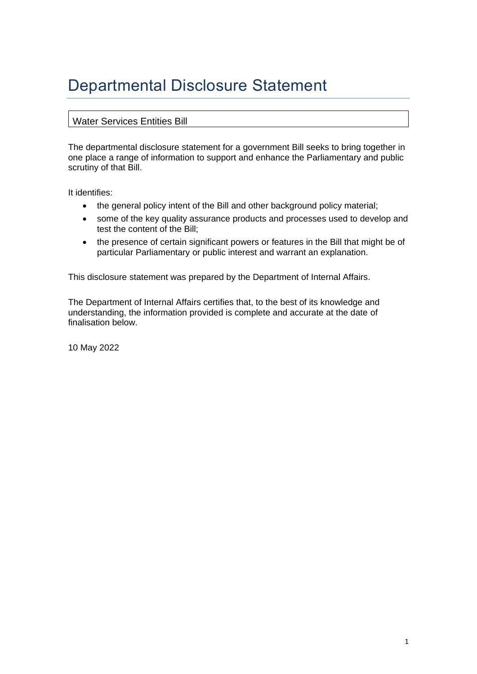# Departmental Disclosure Statement

#### Water Services Entities Bill

The departmental disclosure statement for a government Bill seeks to bring together in one place a range of information to support and enhance the Parliamentary and public scrutiny of that Bill.

It identifies:

- the general policy intent of the Bill and other background policy material;
- some of the key quality assurance products and processes used to develop and test the content of the Bill;
- the presence of certain significant powers or features in the Bill that might be of particular Parliamentary or public interest and warrant an explanation.

This disclosure statement was prepared by the Department of Internal Affairs.

The Department of Internal Affairs certifies that, to the best of its knowledge and understanding, the information provided is complete and accurate at the date of finalisation below.

10 May 2022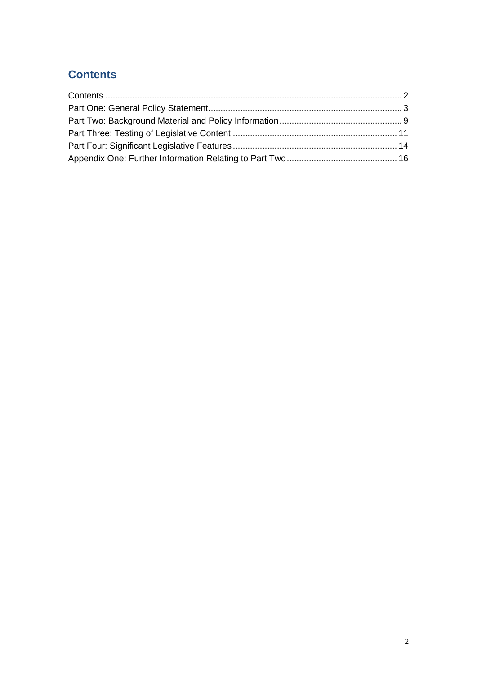# <span id="page-1-0"></span>**Contents**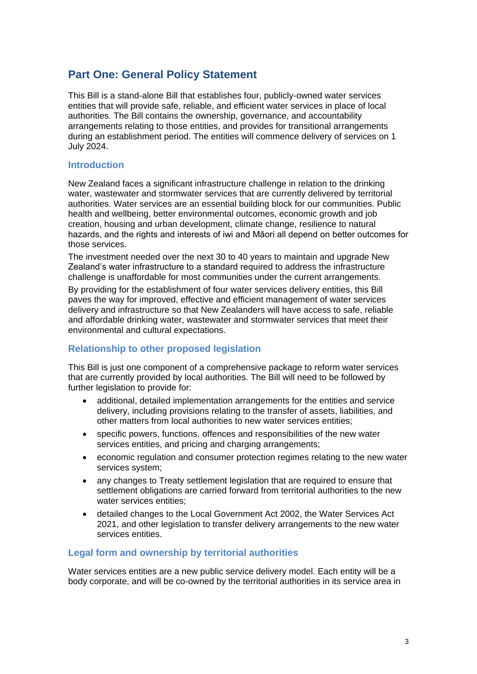## <span id="page-2-0"></span>**Part One: General Policy Statement**

This Bill is a stand-alone Bill that establishes four, publicly-owned water services entities that will provide safe, reliable, and efficient water services in place of local authorities. The Bill contains the ownership, governance, and accountability arrangements relating to those entities, and provides for transitional arrangements during an establishment period. The entities will commence delivery of services on 1 July 2024.

#### **Introduction**

New Zealand faces a significant infrastructure challenge in relation to the drinking water, wastewater and stormwater services that are currently delivered by territorial authorities. Water services are an essential building block for our communities. Public health and wellbeing, better environmental outcomes, economic growth and job creation, housing and urban development, climate change, resilience to natural hazards, and the rights and interests of iwi and Māori all depend on better outcomes for those services.

The investment needed over the next 30 to 40 years to maintain and upgrade New Zealand's water infrastructure to a standard required to address the infrastructure challenge is unaffordable for most communities under the current arrangements.

By providing for the establishment of four water services delivery entities, this Bill paves the way for improved, effective and efficient management of water services delivery and infrastructure so that New Zealanders will have access to safe, reliable and affordable drinking water, wastewater and stormwater services that meet their environmental and cultural expectations.

#### **Relationship to other proposed legislation**

This Bill is just one component of a comprehensive package to reform water services that are currently provided by local authorities. The Bill will need to be followed by further legislation to provide for:

- additional, detailed implementation arrangements for the entities and service delivery, including provisions relating to the transfer of assets, liabilities, and other matters from local authorities to new water services entities;
- specific powers, functions, offences and responsibilities of the new water services entities, and pricing and charging arrangements;
- economic regulation and consumer protection regimes relating to the new water services system;
- any changes to Treaty settlement legislation that are required to ensure that settlement obligations are carried forward from territorial authorities to the new water services entities;
- detailed changes to the Local Government Act 2002, the Water Services Act 2021, and other legislation to transfer delivery arrangements to the new water services entities.

#### **Legal form and ownership by territorial authorities**

Water services entities are a new public service delivery model. Each entity will be a body corporate, and will be co-owned by the territorial authorities in its service area in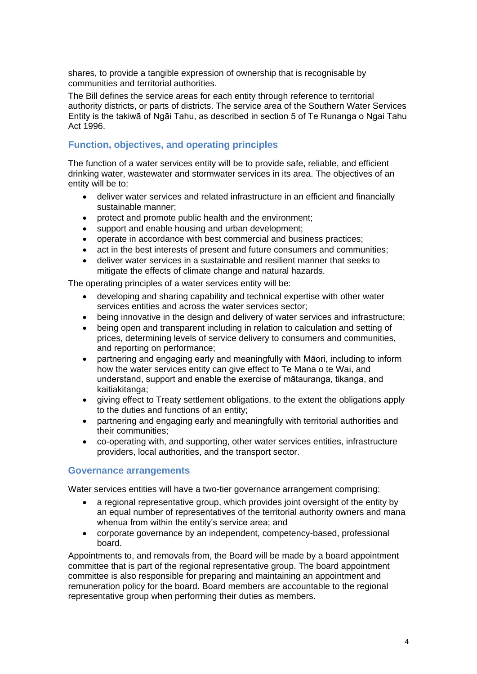shares, to provide a tangible expression of ownership that is recognisable by communities and territorial authorities.

The Bill defines the service areas for each entity through reference to territorial authority districts, or parts of districts. The service area of the Southern Water Services Entity is the takiwā of Ngāi Tahu, as described in section 5 of Te Runanga o Ngai Tahu Act 1996.

### **Function, objectives, and operating principles**

The function of a water services entity will be to provide safe, reliable, and efficient drinking water, wastewater and stormwater services in its area. The objectives of an entity will be to:

- deliver water services and related infrastructure in an efficient and financially sustainable manner;
- protect and promote public health and the environment;
- support and enable housing and urban development;
- operate in accordance with best commercial and business practices;
- act in the best interests of present and future consumers and communities;
- deliver water services in a sustainable and resilient manner that seeks to mitigate the effects of climate change and natural hazards.

The operating principles of a water services entity will be:

- developing and sharing capability and technical expertise with other water services entities and across the water services sector;
- being innovative in the design and delivery of water services and infrastructure;
- being open and transparent including in relation to calculation and setting of prices, determining levels of service delivery to consumers and communities, and reporting on performance;
- partnering and engaging early and meaningfully with Māori, including to inform how the water services entity can give effect to Te Mana o te Wai, and understand, support and enable the exercise of mātauranga, tikanga, and kaitiakitanga;
- giving effect to Treaty settlement obligations, to the extent the obligations apply to the duties and functions of an entity;
- partnering and engaging early and meaningfully with territorial authorities and their communities;
- co-operating with, and supporting, other water services entities, infrastructure providers, local authorities, and the transport sector.

#### **Governance arrangements**

Water services entities will have a two-tier governance arrangement comprising:

- a regional representative group, which provides joint oversight of the entity by an equal number of representatives of the territorial authority owners and mana whenua from within the entity's service area; and
- corporate governance by an independent, competency-based, professional board.

Appointments to, and removals from, the Board will be made by a board appointment committee that is part of the regional representative group. The board appointment committee is also responsible for preparing and maintaining an appointment and remuneration policy for the board. Board members are accountable to the regional representative group when performing their duties as members.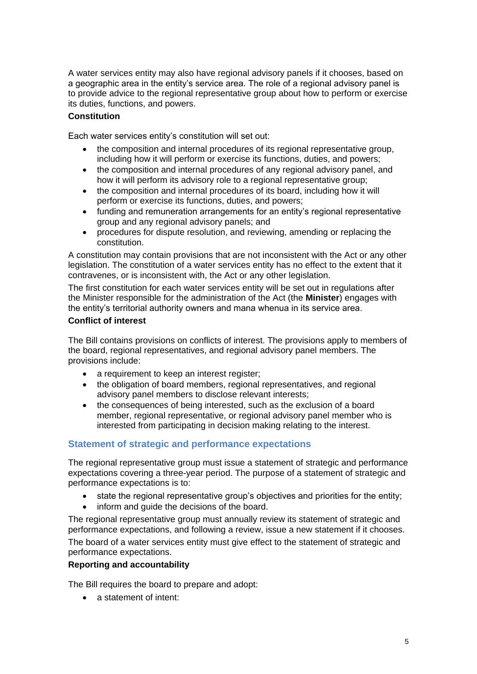A water services entity may also have regional advisory panels if it chooses, based on a geographic area in the entity's service area. The role of a regional advisory panel is to provide advice to the regional representative group about how to perform or exercise its duties, functions, and powers.

#### **Constitution**

Each water services entity's constitution will set out:

- the composition and internal procedures of its regional representative group, including how it will perform or exercise its functions, duties, and powers;
- the composition and internal procedures of any regional advisory panel, and how it will perform its advisory role to a regional representative group;
- the composition and internal procedures of its board, including how it will perform or exercise its functions, duties, and powers;
- funding and remuneration arrangements for an entity's regional representative group and any regional advisory panels; and
- procedures for dispute resolution, and reviewing, amending or replacing the constitution.

A constitution may contain provisions that are not inconsistent with the Act or any other legislation. The constitution of a water services entity has no effect to the extent that it contravenes, or is inconsistent with, the Act or any other legislation.

The first constitution for each water services entity will be set out in regulations after the Minister responsible for the administration of the Act (the **Minister**) engages with the entity's territorial authority owners and mana whenua in its service area.

#### **Conflict of interest**

The Bill contains provisions on conflicts of interest. The provisions apply to members of the board, regional representatives, and regional advisory panel members. The provisions include:

- a requirement to keep an interest register;
- the obligation of board members, regional representatives, and regional advisory panel members to disclose relevant interests;
- the consequences of being interested, such as the exclusion of a board member, regional representative, or regional advisory panel member who is interested from participating in decision making relating to the interest.

#### **Statement of strategic and performance expectations**

The regional representative group must issue a statement of strategic and performance expectations covering a three-year period. The purpose of a statement of strategic and performance expectations is to:

- state the regional representative group's objectives and priorities for the entity;
- inform and guide the decisions of the board.

The regional representative group must annually review its statement of strategic and performance expectations, and following a review, issue a new statement if it chooses. The board of a water services entity must give effect to the statement of strategic and performance expectations.

#### **Reporting and accountability**

The Bill requires the board to prepare and adopt:

• a statement of intent: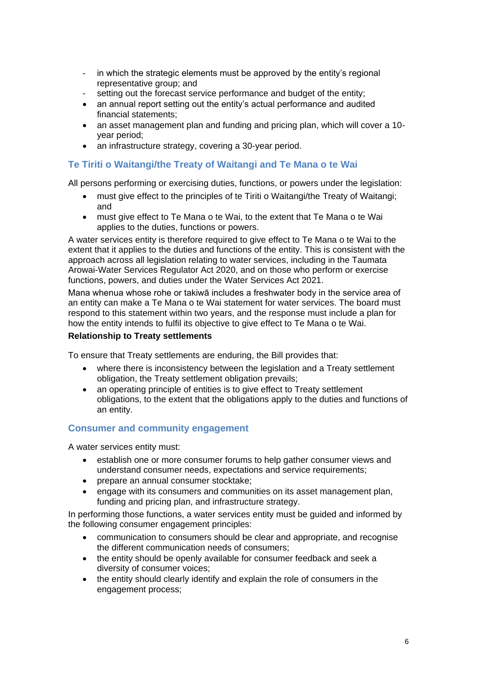- in which the strategic elements must be approved by the entity's regional representative group; and
- setting out the forecast service performance and budget of the entity;
- an annual report setting out the entity's actual performance and audited financial statements;
- an asset management plan and funding and pricing plan, which will cover a 10 year period;
- an infrastructure strategy, covering a 30-year period.

#### **Te Tiriti o Waitangi/the Treaty of Waitangi and Te Mana o te Wai**

All persons performing or exercising duties, functions, or powers under the legislation:

- must give effect to the principles of te Tiriti o Waitangi/the Treaty of Waitangi; and
- must give effect to Te Mana o te Wai, to the extent that Te Mana o te Wai applies to the duties, functions or powers.

A water services entity is therefore required to give effect to Te Mana o te Wai to the extent that it applies to the duties and functions of the entity. This is consistent with the approach across all legislation relating to water services, including in the Taumata Arowai-Water Services Regulator Act 2020, and on those who perform or exercise functions, powers, and duties under the Water Services Act 2021.

Mana whenua whose rohe or takiwā includes a freshwater body in the service area of an entity can make a Te Mana o te Wai statement for water services. The board must respond to this statement within two years, and the response must include a plan for how the entity intends to fulfil its objective to give effect to Te Mana o te Wai.

#### **Relationship to Treaty settlements**

To ensure that Treaty settlements are enduring, the Bill provides that:

- where there is inconsistency between the legislation and a Treaty settlement obligation, the Treaty settlement obligation prevails;
- an operating principle of entities is to give effect to Treaty settlement obligations, to the extent that the obligations apply to the duties and functions of an entity.

#### **Consumer and community engagement**

A water services entity must:

- establish one or more consumer forums to help gather consumer views and understand consumer needs, expectations and service requirements;
- prepare an annual consumer stocktake;
- engage with its consumers and communities on its asset management plan, funding and pricing plan, and infrastructure strategy.

In performing those functions, a water services entity must be guided and informed by the following consumer engagement principles:

- communication to consumers should be clear and appropriate, and recognise the different communication needs of consumers;
- the entity should be openly available for consumer feedback and seek a diversity of consumer voices;
- the entity should clearly identify and explain the role of consumers in the engagement process;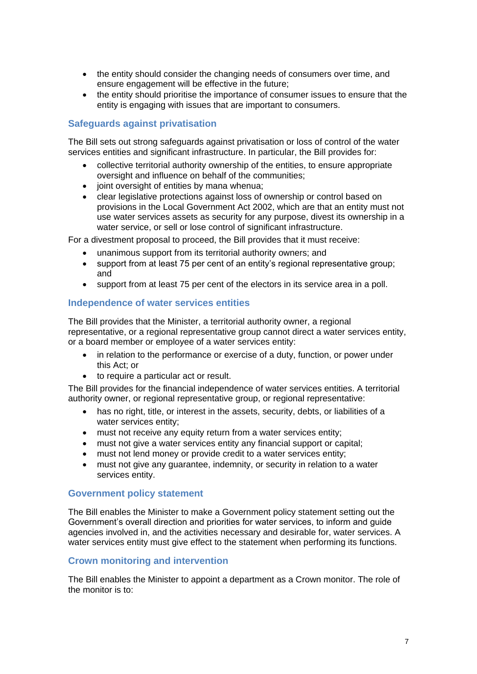- the entity should consider the changing needs of consumers over time, and ensure engagement will be effective in the future;
- the entity should prioritise the importance of consumer issues to ensure that the entity is engaging with issues that are important to consumers.

#### **Safeguards against privatisation**

The Bill sets out strong safeguards against privatisation or loss of control of the water services entities and significant infrastructure. In particular, the Bill provides for:

- collective territorial authority ownership of the entities, to ensure appropriate oversight and influence on behalf of the communities;
- joint oversight of entities by mana whenua;
- clear legislative protections against loss of ownership or control based on provisions in the Local Government Act 2002, which are that an entity must not use water services assets as security for any purpose, divest its ownership in a water service, or sell or lose control of significant infrastructure.

For a divestment proposal to proceed, the Bill provides that it must receive:

- unanimous support from its territorial authority owners; and
- support from at least 75 per cent of an entity's regional representative group; and
- support from at least 75 per cent of the electors in its service area in a poll.

#### **Independence of water services entities**

The Bill provides that the Minister, a territorial authority owner, a regional representative, or a regional representative group cannot direct a water services entity, or a board member or employee of a water services entity:

- in relation to the performance or exercise of a duty, function, or power under this Act; or
- to require a particular act or result.

The Bill provides for the financial independence of water services entities. A territorial authority owner, or regional representative group, or regional representative:

- has no right, title, or interest in the assets, security, debts, or liabilities of a water services entity;
- must not receive any equity return from a water services entity;
- must not give a water services entity any financial support or capital;
- must not lend money or provide credit to a water services entity;
- must not give any guarantee, indemnity, or security in relation to a water services entity.

#### **Government policy statement**

The Bill enables the Minister to make a Government policy statement setting out the Government's overall direction and priorities for water services, to inform and guide agencies involved in, and the activities necessary and desirable for, water services. A water services entity must give effect to the statement when performing its functions.

#### **Crown monitoring and intervention**

The Bill enables the Minister to appoint a department as a Crown monitor. The role of the monitor is to: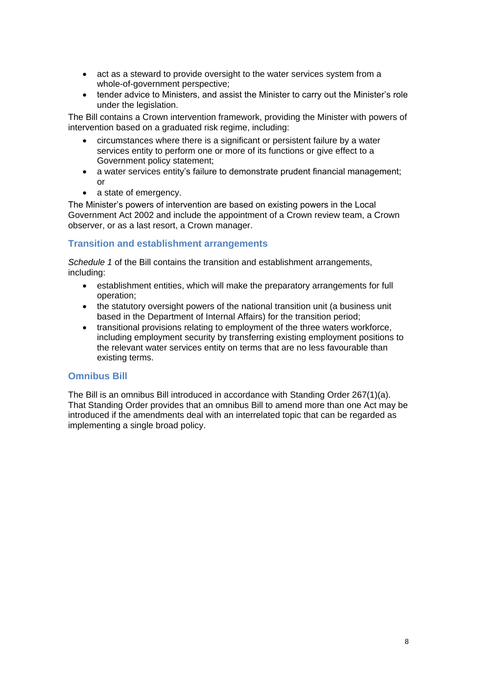- act as a steward to provide oversight to the water services system from a whole-of-government perspective;
- tender advice to Ministers, and assist the Minister to carry out the Minister's role under the legislation.

The Bill contains a Crown intervention framework, providing the Minister with powers of intervention based on a graduated risk regime, including:

- circumstances where there is a significant or persistent failure by a water services entity to perform one or more of its functions or give effect to a Government policy statement;
- a water services entity's failure to demonstrate prudent financial management; or
- a state of emergency.

The Minister's powers of intervention are based on existing powers in the Local Government Act 2002 and include the appointment of a Crown review team, a Crown observer, or as a last resort, a Crown manager.

#### **Transition and establishment arrangements**

*Schedule 1* of the Bill contains the transition and establishment arrangements, including:

- establishment entities, which will make the preparatory arrangements for full operation;
- the statutory oversight powers of the national transition unit (a business unit based in the Department of Internal Affairs) for the transition period;
- transitional provisions relating to employment of the three waters workforce, including employment security by transferring existing employment positions to the relevant water services entity on terms that are no less favourable than existing terms.

#### **Omnibus Bill**

The Bill is an omnibus Bill introduced in accordance with Standing Order 267(1)(a). That Standing Order provides that an omnibus Bill to amend more than one Act may be introduced if the amendments deal with an interrelated topic that can be regarded as implementing a single broad policy.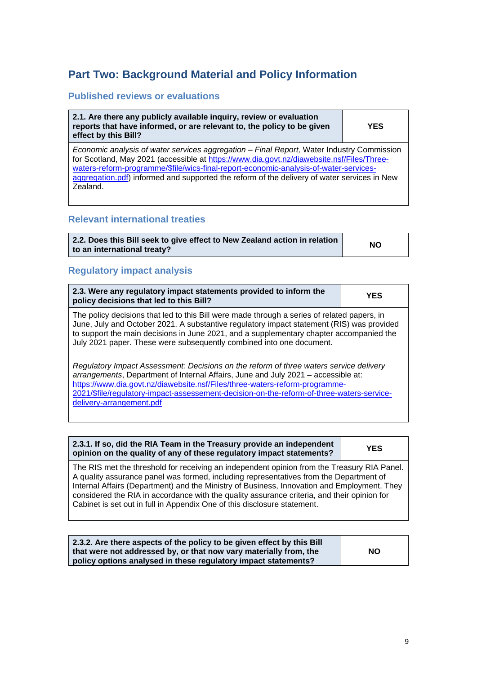# <span id="page-8-0"></span>**Part Two: Background Material and Policy Information**

#### **Published reviews or evaluations**

**2.1. Are there any publicly available inquiry, review or evaluation reports that have informed, or are relevant to, the policy to be given effect by this Bill?**

**YES**

*Economic analysis of water services aggregation – Final Report,* Water Industry Commission for Scotland, May 2021 (accessible at [https://www.dia.govt.nz/diawebsite.nsf/Files/Three](https://www.dia.govt.nz/diawebsite.nsf/Files/Three-waters-reform-programme/$file/wics-final-report-economic-analysis-of-water-services-aggregation.pdf)[waters-reform-programme/\\$file/wics-final-report-economic-analysis-of-water-services](https://www.dia.govt.nz/diawebsite.nsf/Files/Three-waters-reform-programme/$file/wics-final-report-economic-analysis-of-water-services-aggregation.pdf)[aggregation.pdf\)](https://www.dia.govt.nz/diawebsite.nsf/Files/Three-waters-reform-programme/$file/wics-final-report-economic-analysis-of-water-services-aggregation.pdf) informed and supported the reform of the delivery of water services in New Zealand.

#### **Relevant international treaties**

| 2.2. Does this Bill seek to give effect to New Zealand action in relation | <b>NO</b> |
|---------------------------------------------------------------------------|-----------|
| to an international treaty?                                               |           |

#### **Regulatory impact analysis**

| 2.3. Were any regulatory impact statements provided to inform the<br>policy decisions that led to this Bill?                                                                                                                                                                                                                                                                        | <b>YES</b> |
|-------------------------------------------------------------------------------------------------------------------------------------------------------------------------------------------------------------------------------------------------------------------------------------------------------------------------------------------------------------------------------------|------------|
| The policy decisions that led to this Bill were made through a series of related papers, in<br>June, July and October 2021. A substantive regulatory impact statement (RIS) was provided<br>to support the main decisions in June 2021, and a supplementary chapter accompanied the<br>July 2021 paper. These were subsequently combined into one document.                         |            |
| Regulatory Impact Assessment: Decisions on the reform of three waters service delivery<br>arrangements, Department of Internal Affairs, June and July 2021 - accessible at:<br>https://www.dia.govt.nz/diawebsite.nsf/Files/three-waters-reform-programme-<br>2021/\$file/regulatory-impact-assessement-decision-on-the-reform-of-three-waters-service-<br>delivery-arrangement.pdf |            |

| 2.3.1. If so, did the RIA Team in the Treasury provide an independent | <b>YES</b> |
|-----------------------------------------------------------------------|------------|
| opinion on the quality of any of these regulatory impact statements?  |            |

The RIS met the threshold for receiving an independent opinion from the Treasury RIA Panel. A quality assurance panel was formed, including representatives from the Department of Internal Affairs (Department) and the Ministry of Business, Innovation and Employment. They considered the RIA in accordance with the quality assurance criteria, and their opinion for Cabinet is set out in full in Appendix One of this disclosure statement.

| 2.3.2. Are there aspects of the policy to be given effect by this Bill |           |
|------------------------------------------------------------------------|-----------|
| that were not addressed by, or that now vary materially from, the      | <b>NO</b> |
| policy options analysed in these regulatory impact statements?         |           |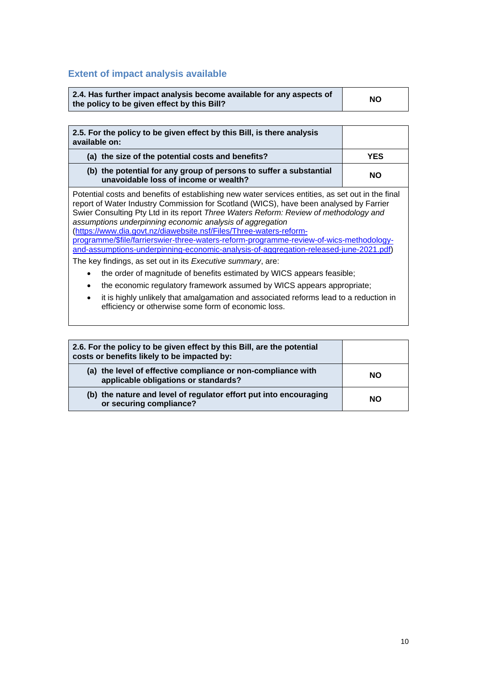# **Extent of impact analysis available**

| 2.4. Has further impact analysis become available for any aspects of<br>the policy to be given effect by this Bill? | <b>NO</b> |
|---------------------------------------------------------------------------------------------------------------------|-----------|
|---------------------------------------------------------------------------------------------------------------------|-----------|

| 2.5. For the policy to be given effect by this Bill, is there analysis<br>available on:                                                                                                                                                                                                                                                                                                                                                                                                                                                                                                                                                                                    |           |
|----------------------------------------------------------------------------------------------------------------------------------------------------------------------------------------------------------------------------------------------------------------------------------------------------------------------------------------------------------------------------------------------------------------------------------------------------------------------------------------------------------------------------------------------------------------------------------------------------------------------------------------------------------------------------|-----------|
| (a) the size of the potential costs and benefits?                                                                                                                                                                                                                                                                                                                                                                                                                                                                                                                                                                                                                          | YES       |
| (b) the potential for any group of persons to suffer a substantial<br>unavoidable loss of income or wealth?                                                                                                                                                                                                                                                                                                                                                                                                                                                                                                                                                                | <b>NO</b> |
| Potential costs and benefits of establishing new water services entities, as set out in the final<br>report of Water Industry Commission for Scotland (WICS), have been analysed by Farrier<br>Swier Consulting Pty Ltd in its report Three Waters Reform: Review of methodology and<br>assumptions underpinning economic analysis of aggregation<br>(https://www.dia.govt.nz/diawebsite.nsf/Files/Three-waters-reform-<br>programme/\$file/farrierswier-three-waters-reform-programme-review-of-wics-methodology-<br>and-assumptions-underpinning-economic-analysis-of-aggregation-released-june-2021.pdf)<br>The key findings, as set out in its Executive summary, are: |           |
| the order of magnitude of benefits estimated by WICS appears feasible;                                                                                                                                                                                                                                                                                                                                                                                                                                                                                                                                                                                                     |           |
| the economic regulatory framework assumed by WICS appears appropriate;                                                                                                                                                                                                                                                                                                                                                                                                                                                                                                                                                                                                     |           |
| it is highly unlikely that amalgamation and associated reforms lead to a reduction in                                                                                                                                                                                                                                                                                                                                                                                                                                                                                                                                                                                      |           |

| 2.6. For the policy to be given effect by this Bill, are the potential<br>costs or benefits likely to be impacted by: |    |
|-----------------------------------------------------------------------------------------------------------------------|----|
| (a) the level of effective compliance or non-compliance with<br>applicable obligations or standards?                  | NΟ |
| (b) the nature and level of regulator effort put into encouraging<br>or securing compliance?                          | NΟ |

efficiency or otherwise some form of economic loss.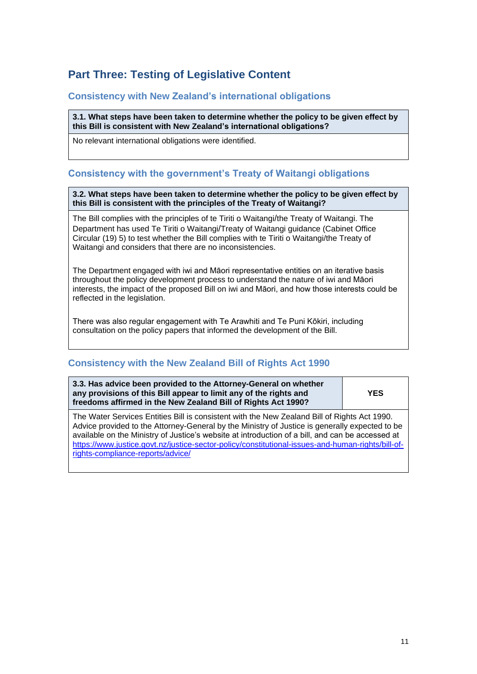# <span id="page-10-0"></span>**Part Three: Testing of Legislative Content**

#### **Consistency with New Zealand's international obligations**

**3.1. What steps have been taken to determine whether the policy to be given effect by this Bill is consistent with New Zealand's international obligations?**

No relevant international obligations were identified.

#### **Consistency with the government's Treaty of Waitangi obligations**

#### **3.2. What steps have been taken to determine whether the policy to be given effect by this Bill is consistent with the principles of the Treaty of Waitangi?**

The Bill complies with the principles of te Tiriti o Waitangi/the Treaty of Waitangi. The Department has used Te Tiriti o Waitangi/Treaty of Waitangi guidance (Cabinet Office Circular (19) 5) to test whether the Bill complies with te Tiriti o Waitangi/the Treaty of Waitangi and considers that there are no inconsistencies.

The Department engaged with iwi and Māori representative entities on an iterative basis throughout the policy development process to understand the nature of iwi and Māori interests, the impact of the proposed Bill on iwi and Māori, and how those interests could be reflected in the legislation.

There was also regular engagement with Te Arawhiti and Te Puni Kōkiri, including consultation on the policy papers that informed the development of the Bill.

#### **Consistency with the New Zealand Bill of Rights Act 1990**

| 3.3. Has advice been provided to the Attorney-General on whether<br>any provisions of this Bill appear to limit any of the rights and<br>freedoms affirmed in the New Zealand Bill of Rights Act 1990? | YES |
|--------------------------------------------------------------------------------------------------------------------------------------------------------------------------------------------------------|-----|
| The Water Services Entities Bill is consistent with the New Zealand Bill of Rights Act 1990.                                                                                                           |     |

The Water Services Entities Bill is consistent with the New Zealand Bill of Rights Act 1990. Advice provided to the Attorney-General by the Ministry of Justice is generally expected to be available on the Ministry of Justice's website at introduction of a bill, and can be accessed at [https://www.justice.govt.nz/justice-sector-policy/constitutional-issues-and-human-rights/bill-of](https://www.justice.govt.nz/justice-sector-policy/constitutional-issues-and-human-rights/bill-of-rights-compliance-reports/advice/)[rights-compliance-reports/advice/](https://www.justice.govt.nz/justice-sector-policy/constitutional-issues-and-human-rights/bill-of-rights-compliance-reports/advice/)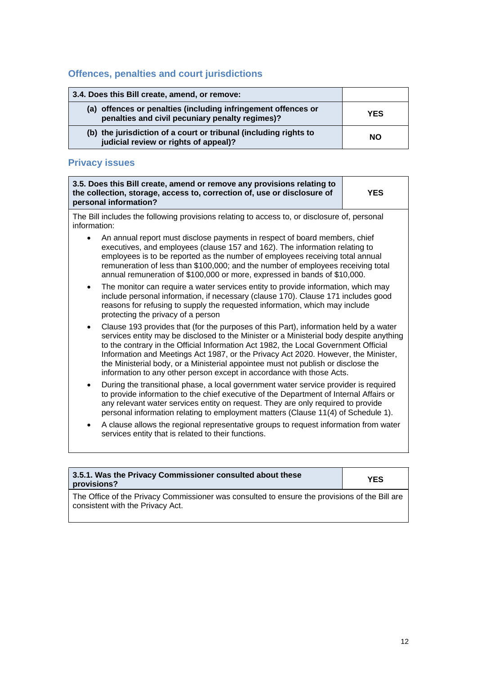# **Offences, penalties and court jurisdictions**

| 3.4. Does this Bill create, amend, or remove:                                                                    |            |
|------------------------------------------------------------------------------------------------------------------|------------|
| (a) offences or penalties (including infringement offences or<br>penalties and civil pecuniary penalty regimes)? | <b>YES</b> |
| (b) the jurisdiction of a court or tribunal (including rights to<br>judicial review or rights of appeal)?        | NΟ         |

# **Privacy issues**

|              | 3.5. Does this Bill create, amend or remove any provisions relating to<br>the collection, storage, access to, correction of, use or disclosure of<br>personal information?                                                                                                                                                                                                                                                                                                                                                  | <b>YES</b> |
|--------------|-----------------------------------------------------------------------------------------------------------------------------------------------------------------------------------------------------------------------------------------------------------------------------------------------------------------------------------------------------------------------------------------------------------------------------------------------------------------------------------------------------------------------------|------------|
| information: | The Bill includes the following provisions relating to access to, or disclosure of, personal                                                                                                                                                                                                                                                                                                                                                                                                                                |            |
|              | An annual report must disclose payments in respect of board members, chief<br>executives, and employees (clause 157 and 162). The information relating to<br>employees is to be reported as the number of employees receiving total annual<br>remuneration of less than \$100,000; and the number of employees receiving total<br>annual remuneration of \$100,000 or more, expressed in bands of \$10,000.                                                                                                                 |            |
| $\bullet$    | The monitor can require a water services entity to provide information, which may<br>include personal information, if necessary (clause 170). Clause 171 includes good<br>reasons for refusing to supply the requested information, which may include<br>protecting the privacy of a person                                                                                                                                                                                                                                 |            |
| $\bullet$    | Clause 193 provides that (for the purposes of this Part), information held by a water<br>services entity may be disclosed to the Minister or a Ministerial body despite anything<br>to the contrary in the Official Information Act 1982, the Local Government Official<br>Information and Meetings Act 1987, or the Privacy Act 2020. However, the Minister,<br>the Ministerial body, or a Ministerial appointee must not publish or disclose the<br>information to any other person except in accordance with those Acts. |            |
| ٠            | During the transitional phase, a local government water service provider is required<br>to provide information to the chief executive of the Department of Internal Affairs or<br>any relevant water services entity on request. They are only required to provide<br>personal information relating to employment matters (Clause 11(4) of Schedule 1).                                                                                                                                                                     |            |
| $\bullet$    | A clause allows the regional representative groups to request information from water<br>services entity that is related to their functions.                                                                                                                                                                                                                                                                                                                                                                                 |            |

| 3.5.1. Was the Privacy Commissioner consulted about these<br>provisions?                                                          | <b>YES</b> |
|-----------------------------------------------------------------------------------------------------------------------------------|------------|
| The Office of the Privacy Commissioner was consulted to ensure the provisions of the Bill are<br>consistent with the Privacy Act. |            |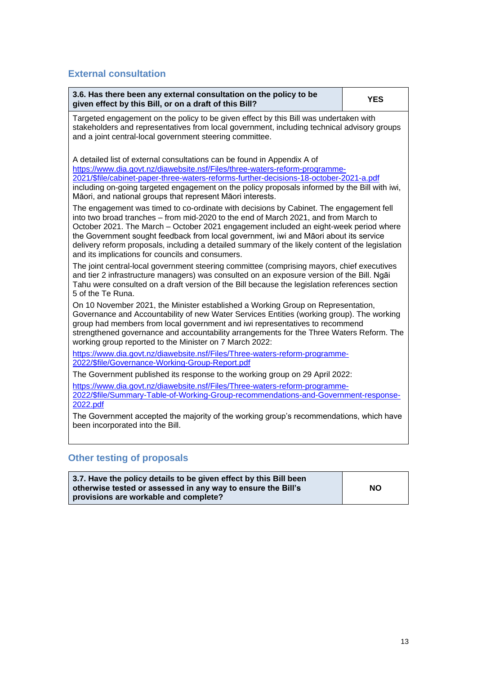### **External consultation**

| 3.6. Has there been any external consultation on the policy to be<br>given effect by this Bill, or on a draft of this Bill?                                                                                                                                                                                                                                                                                                                                                                                             | <b>YES</b> |
|-------------------------------------------------------------------------------------------------------------------------------------------------------------------------------------------------------------------------------------------------------------------------------------------------------------------------------------------------------------------------------------------------------------------------------------------------------------------------------------------------------------------------|------------|
| Targeted engagement on the policy to be given effect by this Bill was undertaken with<br>stakeholders and representatives from local government, including technical advisory groups<br>and a joint central-local government steering committee.                                                                                                                                                                                                                                                                        |            |
| A detailed list of external consultations can be found in Appendix A of<br>https://www.dia.govt.nz/diawebsite.nsf/Files/three-waters-reform-programme-<br>2021/\$file/cabinet-paper-three-waters-reforms-further-decisions-18-october-2021-a.pdf<br>including on-going targeted engagement on the policy proposals informed by the Bill with iwi,<br>Māori, and national groups that represent Māori interests.                                                                                                         |            |
| The engagement was timed to co-ordinate with decisions by Cabinet. The engagement fell<br>into two broad tranches - from mid-2020 to the end of March 2021, and from March to<br>October 2021. The March - October 2021 engagement included an eight-week period where<br>the Government sought feedback from local government, iwi and Māori about its service<br>delivery reform proposals, including a detailed summary of the likely content of the legislation<br>and its implications for councils and consumers. |            |
| The joint central-local government steering committee (comprising mayors, chief executives<br>and tier 2 infrastructure managers) was consulted on an exposure version of the Bill. Ngāi<br>Tahu were consulted on a draft version of the Bill because the legislation references section<br>5 of the Te Runa.                                                                                                                                                                                                          |            |
| On 10 November 2021, the Minister established a Working Group on Representation,<br>Governance and Accountability of new Water Services Entities (working group). The working<br>group had members from local government and iwi representatives to recommend<br>strengthened governance and accountability arrangements for the Three Waters Reform. The<br>working group reported to the Minister on 7 March 2022:                                                                                                    |            |
| https://www.dia.govt.nz/diawebsite.nsf/Files/Three-waters-reform-programme-<br>2022/\$file/Governance-Working-Group-Report.pdf                                                                                                                                                                                                                                                                                                                                                                                          |            |
| The Government published its response to the working group on 29 April 2022:                                                                                                                                                                                                                                                                                                                                                                                                                                            |            |
| https://www.dia.govt.nz/diawebsite.nsf/Files/Three-waters-reform-programme-<br>2022/\$file/Summary-Table-of-Working-Group-recommendations-and-Government-response-<br>2022.pdf                                                                                                                                                                                                                                                                                                                                          |            |
| The Government accepted the majority of the working group's recommendations, which have<br>been incorporated into the Bill.                                                                                                                                                                                                                                                                                                                                                                                             |            |

# **Other testing of proposals**

| 3.7. Have the policy details to be given effect by this Bill been<br>otherwise tested or assessed in any way to ensure the Bill's<br>provisions are workable and complete? | <b>NO</b> |
|----------------------------------------------------------------------------------------------------------------------------------------------------------------------------|-----------|
|----------------------------------------------------------------------------------------------------------------------------------------------------------------------------|-----------|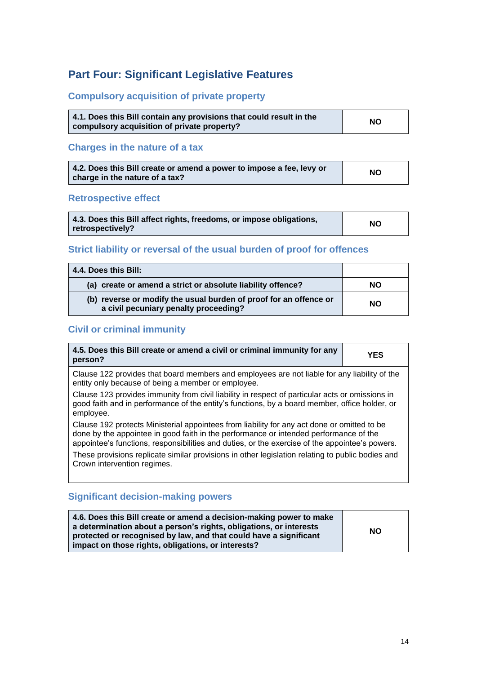# <span id="page-13-0"></span>**Part Four: Significant Legislative Features**

### **Compulsory acquisition of private property**

| 4.1. Does this Bill contain any provisions that could result in the | <b>NO</b> |
|---------------------------------------------------------------------|-----------|
| compulsory acquisition of private property?                         |           |

### **Charges in the nature of a tax**

| 4.2. Does this Bill create or amend a power to impose a fee, levy or | <b>NO</b> |
|----------------------------------------------------------------------|-----------|
| charge in the nature of a tax?                                       |           |

### **Retrospective effect**

| 4.3. Does this Bill affect rights, freedoms, or impose obligations,<br>  retrospectively? | NO. |
|-------------------------------------------------------------------------------------------|-----|
|-------------------------------------------------------------------------------------------|-----|

### **Strict liability or reversal of the usual burden of proof for offences**

| 4.4. Does this Bill:                                                                                       |           |
|------------------------------------------------------------------------------------------------------------|-----------|
| (a) create or amend a strict or absolute liability offence?                                                | <b>NO</b> |
| (b) reverse or modify the usual burden of proof for an offence or<br>a civil pecuniary penalty proceeding? | <b>NO</b> |

### **Civil or criminal immunity**

| 4.5. Does this Bill create or amend a civil or criminal immunity for any<br>person?                                                                                                                                                                                                    | YES |
|----------------------------------------------------------------------------------------------------------------------------------------------------------------------------------------------------------------------------------------------------------------------------------------|-----|
| Clause 122 provides that board members and employees are not liable for any liability of the<br>entity only because of being a member or employee.                                                                                                                                     |     |
| Clause 123 provides immunity from civil liability in respect of particular acts or omissions in<br>good faith and in performance of the entity's functions, by a board member, office holder, or<br>employee.                                                                          |     |
| Clause 192 protects Ministerial appointees from liability for any act done or omitted to be<br>done by the appointee in good faith in the performance or intended performance of the<br>appointee's functions, responsibilities and duties, or the exercise of the appointee's powers. |     |
| These provisions replicate similar provisions in other legislation relating to public bodies and<br>Crown intervention regimes.                                                                                                                                                        |     |

### **Significant decision-making powers**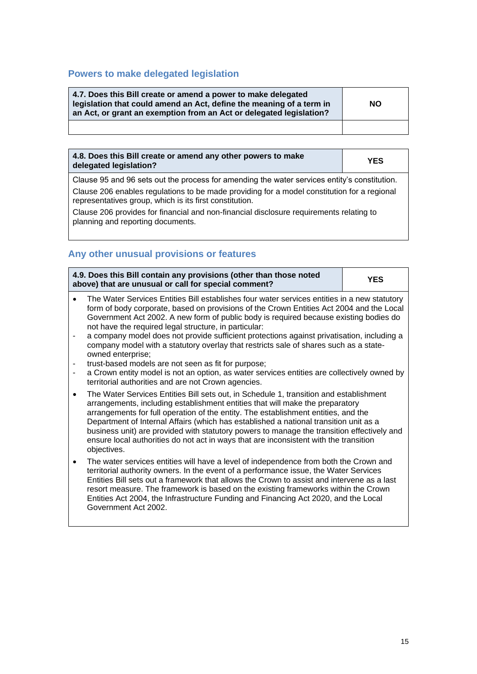#### **Powers to make delegated legislation**

| 4.7. Does this Bill create or amend a power to make delegated<br>legislation that could amend an Act, define the meaning of a term in<br>an Act, or grant an exemption from an Act or delegated legislation? | <b>NO</b> |
|--------------------------------------------------------------------------------------------------------------------------------------------------------------------------------------------------------------|-----------|
|                                                                                                                                                                                                              |           |

| 4.8. Does this Bill create or amend any other powers to make<br>delegated legislation?       | <b>YES</b> |
|----------------------------------------------------------------------------------------------|------------|
| Clause 95 and 96 sets out the process for amending the water services entity's constitution. |            |

Clause 206 enables regulations to be made providing for a model constitution for a regional representatives group, which is its first constitution.

Clause 206 provides for financial and non-financial disclosure requirements relating to planning and reporting documents.

### **Any other unusual provisions or features**

|           | 4.9. Does this Bill contain any provisions (other than those noted<br>above) that are unusual or call for special comment?                                                                                                                                                                                                                                                                                                                                                                                                                                                                                                                                                                                                                                          | <b>YES</b> |
|-----------|---------------------------------------------------------------------------------------------------------------------------------------------------------------------------------------------------------------------------------------------------------------------------------------------------------------------------------------------------------------------------------------------------------------------------------------------------------------------------------------------------------------------------------------------------------------------------------------------------------------------------------------------------------------------------------------------------------------------------------------------------------------------|------------|
|           | The Water Services Entities Bill establishes four water services entities in a new statutory<br>form of body corporate, based on provisions of the Crown Entities Act 2004 and the Local<br>Government Act 2002. A new form of public body is required because existing bodies do<br>not have the required legal structure, in particular:<br>a company model does not provide sufficient protections against privatisation, including a<br>company model with a statutory overlay that restricts sale of shares such as a state-<br>owned enterprise;<br>trust-based models are not seen as fit for purpose;<br>a Crown entity model is not an option, as water services entities are collectively owned by<br>territorial authorities and are not Crown agencies. |            |
| $\bullet$ | The Water Services Entities Bill sets out, in Schedule 1, transition and establishment<br>arrangements, including establishment entities that will make the preparatory<br>arrangements for full operation of the entity. The establishment entities, and the<br>Department of Internal Affairs (which has established a national transition unit as a<br>business unit) are provided with statutory powers to manage the transition effectively and<br>ensure local authorities do not act in ways that are inconsistent with the transition<br>objectives.                                                                                                                                                                                                        |            |
| ٠         | The water services entities will have a level of independence from both the Crown and<br>territorial authority owners. In the event of a performance issue, the Water Services<br>Entities Bill sets out a framework that allows the Crown to assist and intervene as a last<br>resort measure. The framework is based on the existing frameworks within the Crown<br>Entities Act 2004, the Infrastructure Funding and Financing Act 2020, and the Local                                                                                                                                                                                                                                                                                                           |            |

Government Act 2002.